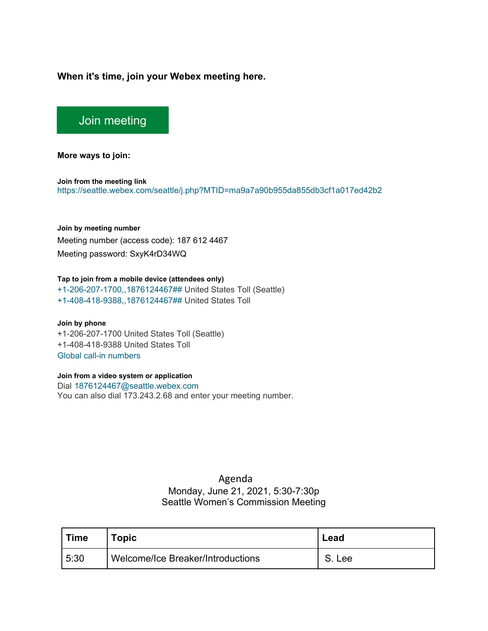## **When it's time, join your Webex meeting here.**

# [Join meeting](https://seattle.webex.com/seattle/j.php?MTID=ma9a7a90b955da855db3cf1a017ed42b2)

**More ways to join:** 

**Join from the meeting link**  <https://seattle.webex.com/seattle/j.php?MTID=ma9a7a90b955da855db3cf1a017ed42b2>

#### **Join by meeting number**

Meeting number (access code): 187 612 4467 Meeting password: SxyK4rD34WQ

#### **Tap to join from a mobile device (attendees only)**

[+1-206-207-1700,,1876124467##](tel:%2B1-206-207-1700,,*01*1876124467%23%23*01*) United States Toll (Seattle) [+1-408-418-9388,,1876124467##](tel:%2B1-408-418-9388,,*01*1876124467%23%23*01*) United States Toll

**Join by phone** +1-206-207-1700 United States Toll (Seattle) +1-408-418-9388 United States Toll [Global call-in numbers](https://seattle.webex.com/seattle/globalcallin.php?MTID=mc5d6dd9c40639a989d6fe8f31d012dc8)

### **Join from a video system or application**

Dial [1876124467@seattle.webex.com](sip:1876124467@seattle.webex.com) You can also dial 173.243.2.68 and enter your meeting number.

## Agenda

Monday, June 21, 2021, 5:30-7:30p Seattle Women's Commission Meeting

| <b>Time</b> | Topic                             | Lead  |
|-------------|-----------------------------------|-------|
| 5:30        | Welcome/Ice Breaker/Introductions | . Lee |